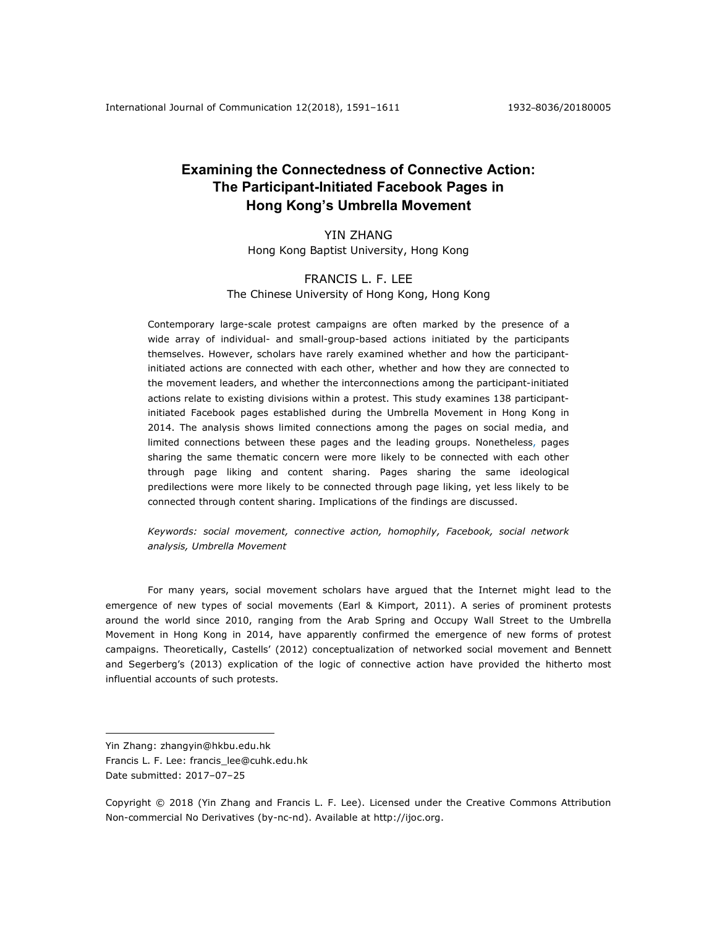# **Examining the Connectedness of Connective Action: The Participant-Initiated Facebook Pages in Hong Kong's Umbrella Movement**

# YIN ZHANG Hong Kong Baptist University, Hong Kong

# FRANCIS L. F. LEE The Chinese University of Hong Kong, Hong Kong

Contemporary large-scale protest campaigns are often marked by the presence of a wide array of individual- and small-group-based actions initiated by the participants themselves. However, scholars have rarely examined whether and how the participantinitiated actions are connected with each other, whether and how they are connected to the movement leaders, and whether the interconnections among the participant-initiated actions relate to existing divisions within a protest. This study examines 138 participantinitiated Facebook pages established during the Umbrella Movement in Hong Kong in 2014. The analysis shows limited connections among the pages on social media, and limited connections between these pages and the leading groups. Nonetheless, pages sharing the same thematic concern were more likely to be connected with each other through page liking and content sharing. Pages sharing the same ideological predilections were more likely to be connected through page liking, yet less likely to be connected through content sharing. Implications of the findings are discussed.

*Keywords: social movement, connective action, homophily, Facebook, social network analysis, Umbrella Movement*

For many years, social movement scholars have argued that the Internet might lead to the emergence of new types of social movements (Earl & Kimport, 2011). A series of prominent protests around the world since 2010, ranging from the Arab Spring and Occupy Wall Street to the Umbrella Movement in Hong Kong in 2014, have apparently confirmed the emergence of new forms of protest campaigns. Theoretically, Castells' (2012) conceptualization of networked social movement and Bennett and Segerberg's (2013) explication of the logic of connective action have provided the hitherto most influential accounts of such protests.

<u>.</u>

Yin Zhang: zhangyin@hkbu.edu.hk

Francis L. F. Lee: francis\_lee@cuhk.edu.hk Date submitted: 2017–07–25

Copyright © 2018 (Yin Zhang and Francis L. F. Lee). Licensed under the Creative Commons Attribution Non-commercial No Derivatives (by-nc-nd). Available at http://ijoc.org.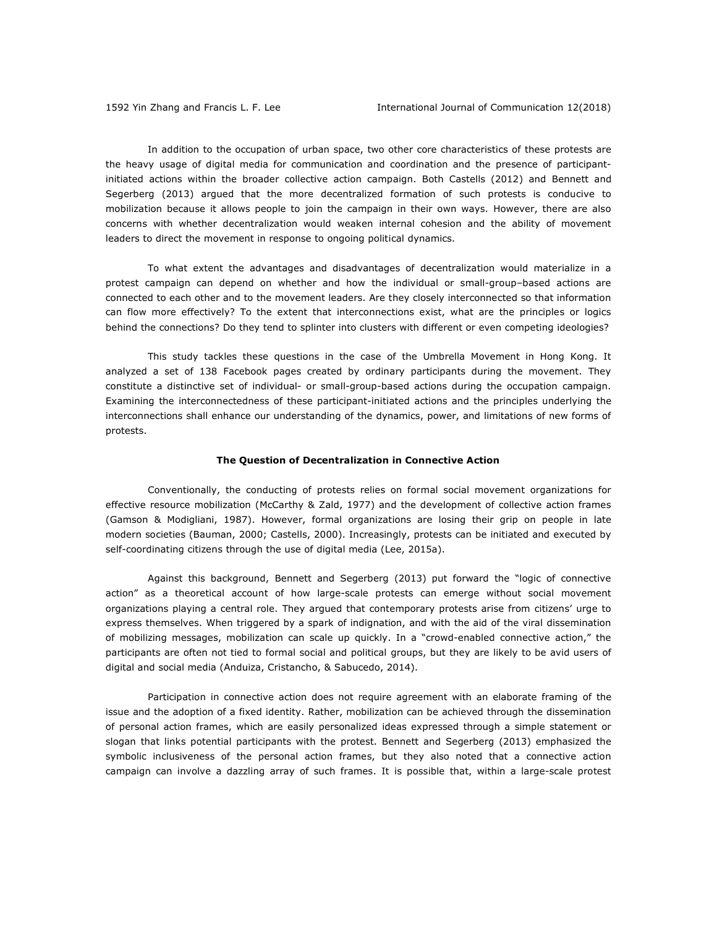In addition to the occupation of urban space, two other core characteristics of these protests are the heavy usage of digital media for communication and coordination and the presence of participantinitiated actions within the broader collective action campaign. Both Castells (2012) and Bennett and Segerberg (2013) argued that the more decentralized formation of such protests is conducive to mobilization because it allows people to join the campaign in their own ways. However, there are also concerns with whether decentralization would weaken internal cohesion and the ability of movement leaders to direct the movement in response to ongoing political dynamics.

To what extent the advantages and disadvantages of decentralization would materialize in a protest campaign can depend on whether and how the individual or small-group–based actions are connected to each other and to the movement leaders. Are they closely interconnected so that information can flow more effectively? To the extent that interconnections exist, what are the principles or logics behind the connections? Do they tend to splinter into clusters with different or even competing ideologies?

This study tackles these questions in the case of the Umbrella Movement in Hong Kong. It analyzed a set of 138 Facebook pages created by ordinary participants during the movement. They constitute a distinctive set of individual- or small-group-based actions during the occupation campaign. Examining the interconnectedness of these participant-initiated actions and the principles underlying the interconnections shall enhance our understanding of the dynamics, power, and limitations of new forms of protests.

#### **The Question of Decentralization in Connective Action**

Conventionally, the conducting of protests relies on formal social movement organizations for effective resource mobilization (McCarthy & Zald, 1977) and the development of collective action frames (Gamson & Modigliani, 1987). However, formal organizations are losing their grip on people in late modern societies (Bauman, 2000; Castells, 2000). Increasingly, protests can be initiated and executed by self-coordinating citizens through the use of digital media (Lee, 2015a).

Against this background, Bennett and Segerberg (2013) put forward the "logic of connective action" as a theoretical account of how large-scale protests can emerge without social movement organizations playing a central role. They argued that contemporary protests arise from citizens' urge to express themselves. When triggered by a spark of indignation, and with the aid of the viral dissemination of mobilizing messages, mobilization can scale up quickly. In a "crowd-enabled connective action," the participants are often not tied to formal social and political groups, but they are likely to be avid users of digital and social media (Anduiza, Cristancho, & Sabucedo, 2014).

Participation in connective action does not require agreement with an elaborate framing of the issue and the adoption of a fixed identity. Rather, mobilization can be achieved through the dissemination of personal action frames, which are easily personalized ideas expressed through a simple statement or slogan that links potential participants with the protest. Bennett and Segerberg (2013) emphasized the symbolic inclusiveness of the personal action frames, but they also noted that a connective action campaign can involve a dazzling array of such frames. It is possible that, within a large-scale protest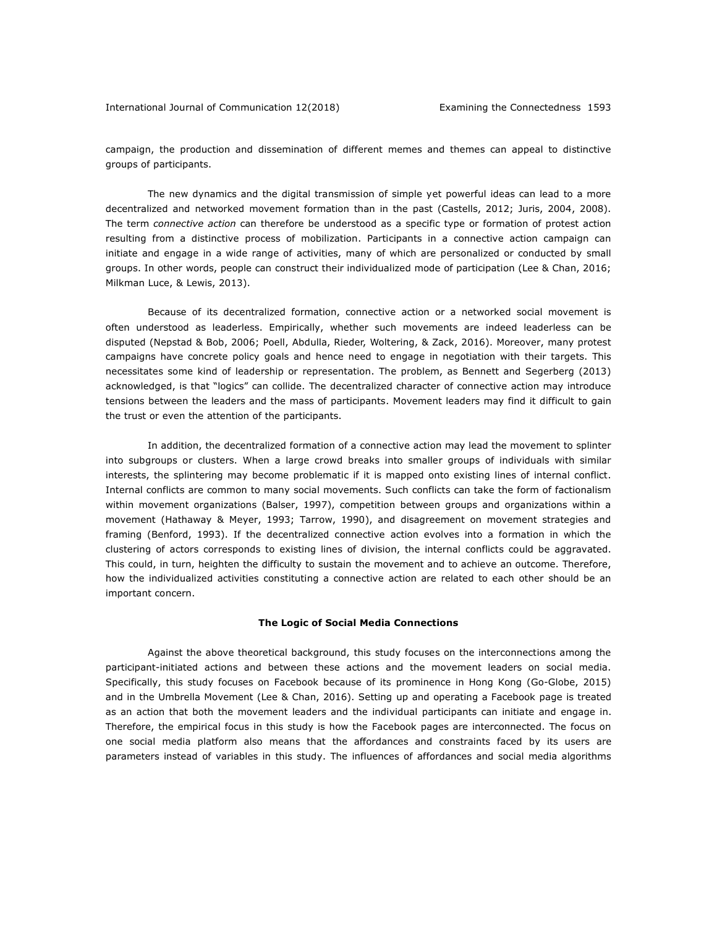campaign, the production and dissemination of different memes and themes can appeal to distinctive groups of participants.

The new dynamics and the digital transmission of simple yet powerful ideas can lead to a more decentralized and networked movement formation than in the past (Castells, 2012; Juris, 2004, 2008). The term *connective action* can therefore be understood as a specific type or formation of protest action resulting from a distinctive process of mobilization. Participants in a connective action campaign can initiate and engage in a wide range of activities, many of which are personalized or conducted by small groups. In other words, people can construct their individualized mode of participation (Lee & Chan, 2016; Milkman Luce, & Lewis, 2013).

Because of its decentralized formation, connective action or a networked social movement is often understood as leaderless. Empirically, whether such movements are indeed leaderless can be disputed (Nepstad & Bob, 2006; Poell, Abdulla, Rieder, Woltering, & Zack, 2016). Moreover, many protest campaigns have concrete policy goals and hence need to engage in negotiation with their targets. This necessitates some kind of leadership or representation. The problem, as Bennett and Segerberg (2013) acknowledged, is that "logics" can collide. The decentralized character of connective action may introduce tensions between the leaders and the mass of participants. Movement leaders may find it difficult to gain the trust or even the attention of the participants.

In addition, the decentralized formation of a connective action may lead the movement to splinter into subgroups or clusters. When a large crowd breaks into smaller groups of individuals with similar interests, the splintering may become problematic if it is mapped onto existing lines of internal conflict. Internal conflicts are common to many social movements. Such conflicts can take the form of factionalism within movement organizations (Balser, 1997), competition between groups and organizations within a movement (Hathaway & Meyer, 1993; Tarrow, 1990), and disagreement on movement strategies and framing (Benford, 1993). If the decentralized connective action evolves into a formation in which the clustering of actors corresponds to existing lines of division, the internal conflicts could be aggravated. This could, in turn, heighten the difficulty to sustain the movement and to achieve an outcome. Therefore, how the individualized activities constituting a connective action are related to each other should be an important concern.

### **The Logic of Social Media Connections**

Against the above theoretical background, this study focuses on the interconnections among the participant-initiated actions and between these actions and the movement leaders on social media. Specifically, this study focuses on Facebook because of its prominence in Hong Kong (Go-Globe, 2015) and in the Umbrella Movement (Lee & Chan, 2016). Setting up and operating a Facebook page is treated as an action that both the movement leaders and the individual participants can initiate and engage in. Therefore, the empirical focus in this study is how the Facebook pages are interconnected. The focus on one social media platform also means that the affordances and constraints faced by its users are parameters instead of variables in this study. The influences of affordances and social media algorithms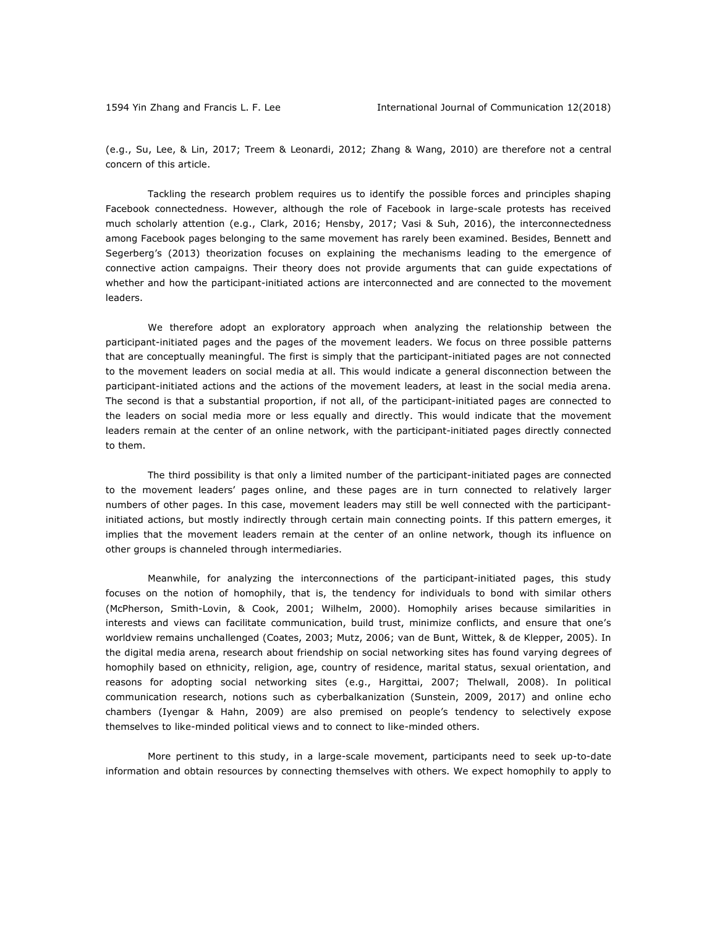(e.g., Su, Lee, & Lin, 2017; Treem & Leonardi, 2012; Zhang & Wang, 2010) are therefore not a central concern of this article.

Tackling the research problem requires us to identify the possible forces and principles shaping Facebook connectedness. However, although the role of Facebook in large-scale protests has received much scholarly attention (e.g., Clark, 2016; Hensby, 2017; Vasi & Suh, 2016), the interconnectedness among Facebook pages belonging to the same movement has rarely been examined. Besides, Bennett and Segerberg's (2013) theorization focuses on explaining the mechanisms leading to the emergence of connective action campaigns. Their theory does not provide arguments that can guide expectations of whether and how the participant-initiated actions are interconnected and are connected to the movement leaders.

We therefore adopt an exploratory approach when analyzing the relationship between the participant-initiated pages and the pages of the movement leaders. We focus on three possible patterns that are conceptually meaningful. The first is simply that the participant-initiated pages are not connected to the movement leaders on social media at all. This would indicate a general disconnection between the participant-initiated actions and the actions of the movement leaders, at least in the social media arena. The second is that a substantial proportion, if not all, of the participant-initiated pages are connected to the leaders on social media more or less equally and directly. This would indicate that the movement leaders remain at the center of an online network, with the participant-initiated pages directly connected to them.

The third possibility is that only a limited number of the participant-initiated pages are connected to the movement leaders' pages online, and these pages are in turn connected to relatively larger numbers of other pages. In this case, movement leaders may still be well connected with the participantinitiated actions, but mostly indirectly through certain main connecting points. If this pattern emerges, it implies that the movement leaders remain at the center of an online network, though its influence on other groups is channeled through intermediaries.

Meanwhile, for analyzing the interconnections of the participant-initiated pages, this study focuses on the notion of homophily, that is, the tendency for individuals to bond with similar others (McPherson, Smith-Lovin, & Cook, 2001; Wilhelm, 2000). Homophily arises because similarities in interests and views can facilitate communication, build trust, minimize conflicts, and ensure that one's worldview remains unchallenged (Coates, 2003; Mutz, 2006; van de Bunt, Wittek, & de Klepper, 2005). In the digital media arena, research about friendship on social networking sites has found varying degrees of homophily based on ethnicity, religion, age, country of residence, marital status, sexual orientation, and reasons for adopting social networking sites (e.g., Hargittai, 2007; Thelwall, 2008). In political communication research, notions such as cyberbalkanization (Sunstein, 2009, 2017) and online echo chambers (Iyengar & Hahn, 2009) are also premised on people's tendency to selectively expose themselves to like-minded political views and to connect to like-minded others.

More pertinent to this study, in a large-scale movement, participants need to seek up-to-date information and obtain resources by connecting themselves with others. We expect homophily to apply to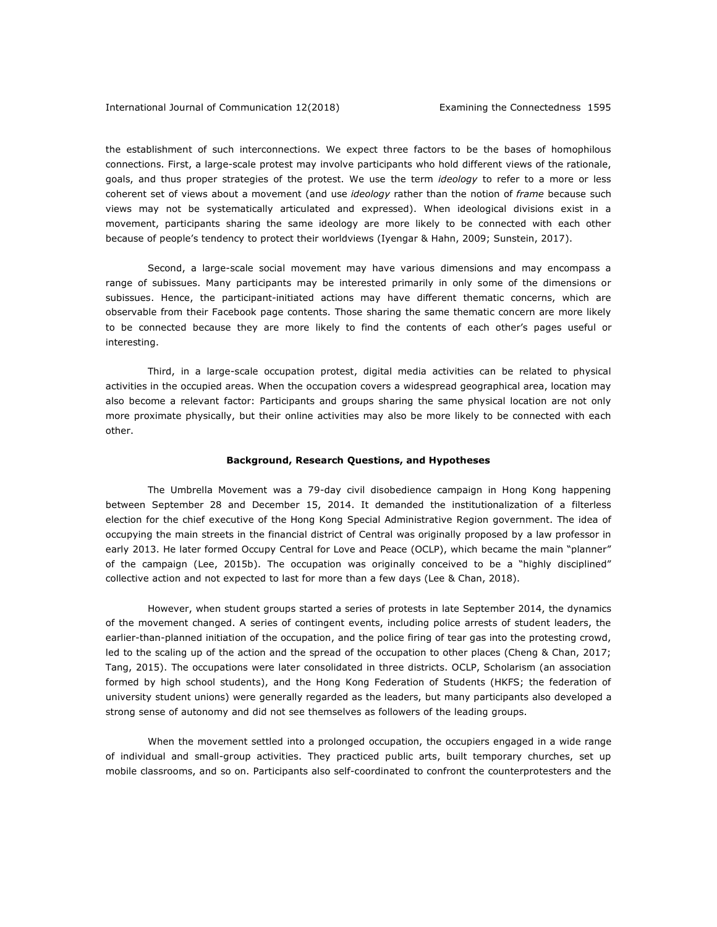the establishment of such interconnections. We expect three factors to be the bases of homophilous connections. First, a large-scale protest may involve participants who hold different views of the rationale, goals, and thus proper strategies of the protest. We use the term *ideology* to refer to a more or less coherent set of views about a movement (and use *ideology* rather than the notion of *frame* because such views may not be systematically articulated and expressed). When ideological divisions exist in a movement, participants sharing the same ideology are more likely to be connected with each other because of people's tendency to protect their worldviews (Iyengar & Hahn, 2009; Sunstein, 2017).

Second, a large-scale social movement may have various dimensions and may encompass a range of subissues. Many participants may be interested primarily in only some of the dimensions or subissues. Hence, the participant-initiated actions may have different thematic concerns, which are observable from their Facebook page contents. Those sharing the same thematic concern are more likely to be connected because they are more likely to find the contents of each other's pages useful or interesting.

Third, in a large-scale occupation protest, digital media activities can be related to physical activities in the occupied areas. When the occupation covers a widespread geographical area, location may also become a relevant factor: Participants and groups sharing the same physical location are not only more proximate physically, but their online activities may also be more likely to be connected with each other.

#### **Background, Research Questions, and Hypotheses**

The Umbrella Movement was a 79-day civil disobedience campaign in Hong Kong happening between September 28 and December 15, 2014. It demanded the institutionalization of a filterless election for the chief executive of the Hong Kong Special Administrative Region government. The idea of occupying the main streets in the financial district of Central was originally proposed by a law professor in early 2013. He later formed Occupy Central for Love and Peace (OCLP), which became the main "planner" of the campaign (Lee, 2015b). The occupation was originally conceived to be a "highly disciplined" collective action and not expected to last for more than a few days (Lee & Chan, 2018).

However, when student groups started a series of protests in late September 2014, the dynamics of the movement changed. A series of contingent events, including police arrests of student leaders, the earlier-than-planned initiation of the occupation, and the police firing of tear gas into the protesting crowd, led to the scaling up of the action and the spread of the occupation to other places (Cheng & Chan, 2017; Tang, 2015). The occupations were later consolidated in three districts. OCLP, Scholarism (an association formed by high school students), and the Hong Kong Federation of Students (HKFS; the federation of university student unions) were generally regarded as the leaders, but many participants also developed a strong sense of autonomy and did not see themselves as followers of the leading groups.

When the movement settled into a prolonged occupation, the occupiers engaged in a wide range of individual and small-group activities. They practiced public arts, built temporary churches, set up mobile classrooms, and so on. Participants also self-coordinated to confront the counterprotesters and the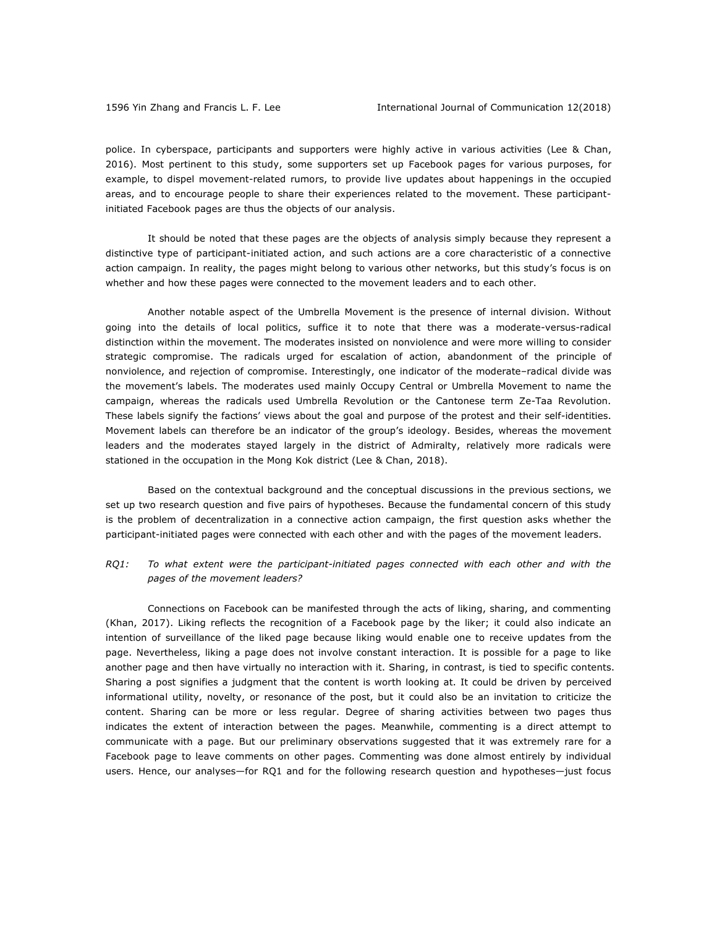police. In cyberspace, participants and supporters were highly active in various activities (Lee & Chan, 2016). Most pertinent to this study, some supporters set up Facebook pages for various purposes, for example, to dispel movement-related rumors, to provide live updates about happenings in the occupied areas, and to encourage people to share their experiences related to the movement. These participantinitiated Facebook pages are thus the objects of our analysis.

It should be noted that these pages are the objects of analysis simply because they represent a distinctive type of participant-initiated action, and such actions are a core characteristic of a connective action campaign. In reality, the pages might belong to various other networks, but this study's focus is on whether and how these pages were connected to the movement leaders and to each other.

Another notable aspect of the Umbrella Movement is the presence of internal division. Without going into the details of local politics, suffice it to note that there was a moderate-versus-radical distinction within the movement. The moderates insisted on nonviolence and were more willing to consider strategic compromise. The radicals urged for escalation of action, abandonment of the principle of nonviolence, and rejection of compromise. Interestingly, one indicator of the moderate–radical divide was the movement's labels. The moderates used mainly Occupy Central or Umbrella Movement to name the campaign, whereas the radicals used Umbrella Revolution or the Cantonese term Ze-Taa Revolution. These labels signify the factions' views about the goal and purpose of the protest and their self-identities. Movement labels can therefore be an indicator of the group's ideology. Besides, whereas the movement leaders and the moderates stayed largely in the district of Admiralty, relatively more radicals were stationed in the occupation in the Mong Kok district (Lee & Chan, 2018).

Based on the contextual background and the conceptual discussions in the previous sections, we set up two research question and five pairs of hypotheses. Because the fundamental concern of this study is the problem of decentralization in a connective action campaign, the first question asks whether the participant-initiated pages were connected with each other and with the pages of the movement leaders.

## *RQ1: To what extent were the participant-initiated pages connected with each other and with the pages of the movement leaders?*

Connections on Facebook can be manifested through the acts of liking, sharing, and commenting (Khan, 2017). Liking reflects the recognition of a Facebook page by the liker; it could also indicate an intention of surveillance of the liked page because liking would enable one to receive updates from the page. Nevertheless, liking a page does not involve constant interaction. It is possible for a page to like another page and then have virtually no interaction with it. Sharing, in contrast, is tied to specific contents. Sharing a post signifies a judgment that the content is worth looking at. It could be driven by perceived informational utility, novelty, or resonance of the post, but it could also be an invitation to criticize the content. Sharing can be more or less regular. Degree of sharing activities between two pages thus indicates the extent of interaction between the pages. Meanwhile, commenting is a direct attempt to communicate with a page. But our preliminary observations suggested that it was extremely rare for a Facebook page to leave comments on other pages. Commenting was done almost entirely by individual users. Hence, our analyses—for RQ1 and for the following research question and hypotheses—just focus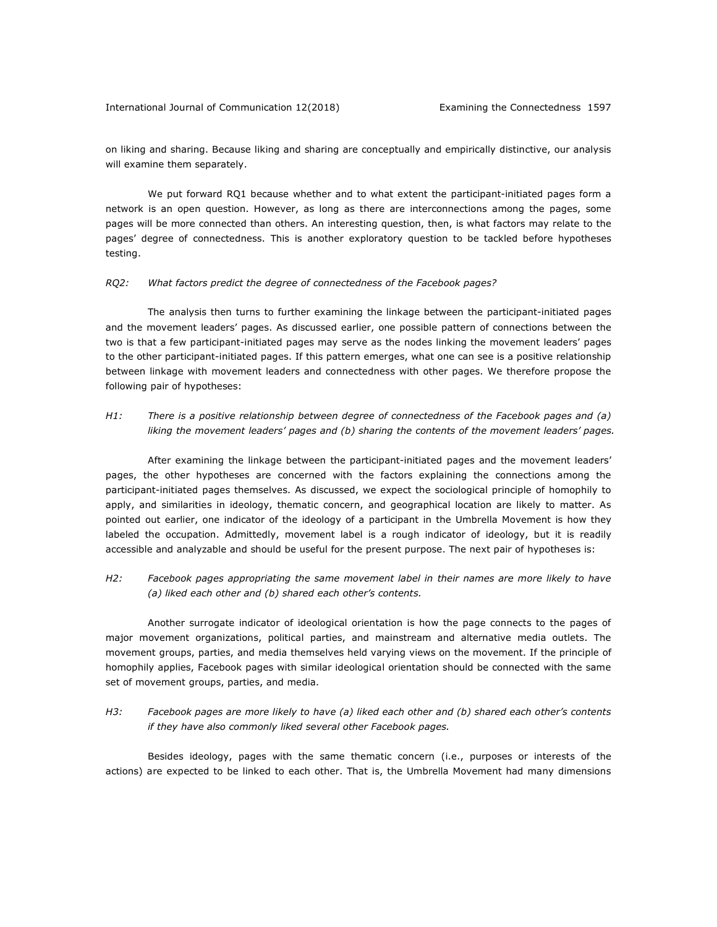on liking and sharing. Because liking and sharing are conceptually and empirically distinctive, our analysis will examine them separately.

We put forward RQ1 because whether and to what extent the participant-initiated pages form a network is an open question. However, as long as there are interconnections among the pages, some pages will be more connected than others. An interesting question, then, is what factors may relate to the pages' degree of connectedness. This is another exploratory question to be tackled before hypotheses testing.

### *RQ2: What factors predict the degree of connectedness of the Facebook pages?*

The analysis then turns to further examining the linkage between the participant-initiated pages and the movement leaders' pages. As discussed earlier, one possible pattern of connections between the two is that a few participant-initiated pages may serve as the nodes linking the movement leaders' pages to the other participant-initiated pages. If this pattern emerges, what one can see is a positive relationship between linkage with movement leaders and connectedness with other pages. We therefore propose the following pair of hypotheses:

## *H1: There is a positive relationship between degree of connectedness of the Facebook pages and (a) liking the movement leaders' pages and (b) sharing the contents of the movement leaders' pages.*

After examining the linkage between the participant-initiated pages and the movement leaders' pages, the other hypotheses are concerned with the factors explaining the connections among the participant-initiated pages themselves. As discussed, we expect the sociological principle of homophily to apply, and similarities in ideology, thematic concern, and geographical location are likely to matter. As pointed out earlier, one indicator of the ideology of a participant in the Umbrella Movement is how they labeled the occupation. Admittedly, movement label is a rough indicator of ideology, but it is readily accessible and analyzable and should be useful for the present purpose. The next pair of hypotheses is:

## *H2: Facebook pages appropriating the same movement label in their names are more likely to have (a) liked each other and (b) shared each other's contents.*

Another surrogate indicator of ideological orientation is how the page connects to the pages of major movement organizations, political parties, and mainstream and alternative media outlets. The movement groups, parties, and media themselves held varying views on the movement. If the principle of homophily applies, Facebook pages with similar ideological orientation should be connected with the same set of movement groups, parties, and media.

## *H3: Facebook pages are more likely to have (a) liked each other and (b) shared each other's contents if they have also commonly liked several other Facebook pages.*

Besides ideology, pages with the same thematic concern (i.e., purposes or interests of the actions) are expected to be linked to each other. That is, the Umbrella Movement had many dimensions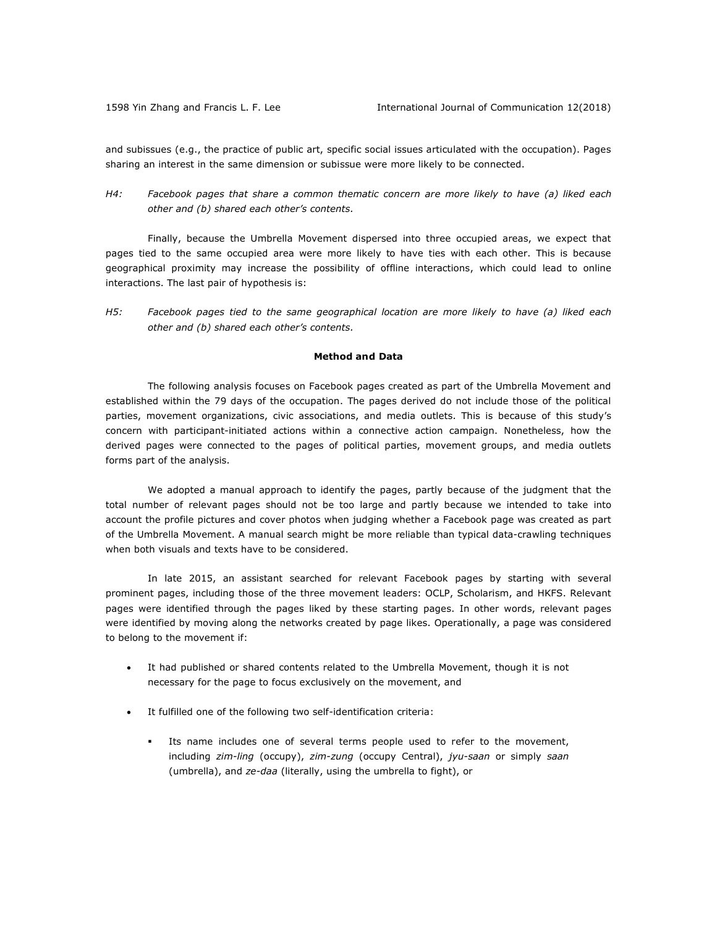and subissues (e.g., the practice of public art, specific social issues articulated with the occupation). Pages sharing an interest in the same dimension or subissue were more likely to be connected.

## *H4: Facebook pages that share a common thematic concern are more likely to have (a) liked each other and (b) shared each other's contents.*

Finally, because the Umbrella Movement dispersed into three occupied areas, we expect that pages tied to the same occupied area were more likely to have ties with each other. This is because geographical proximity may increase the possibility of offline interactions, which could lead to online interactions. The last pair of hypothesis is:

*H5: Facebook pages tied to the same geographical location are more likely to have (a) liked each other and (b) shared each other's contents.* 

## **Method and Data**

The following analysis focuses on Facebook pages created as part of the Umbrella Movement and established within the 79 days of the occupation. The pages derived do not include those of the political parties, movement organizations, civic associations, and media outlets. This is because of this study's concern with participant-initiated actions within a connective action campaign. Nonetheless, how the derived pages were connected to the pages of political parties, movement groups, and media outlets forms part of the analysis.

We adopted a manual approach to identify the pages, partly because of the judgment that the total number of relevant pages should not be too large and partly because we intended to take into account the profile pictures and cover photos when judging whether a Facebook page was created as part of the Umbrella Movement. A manual search might be more reliable than typical data-crawling techniques when both visuals and texts have to be considered.

In late 2015, an assistant searched for relevant Facebook pages by starting with several prominent pages, including those of the three movement leaders: OCLP, Scholarism, and HKFS. Relevant pages were identified through the pages liked by these starting pages. In other words, relevant pages were identified by moving along the networks created by page likes. Operationally, a page was considered to belong to the movement if:

- It had published or shared contents related to the Umbrella Movement, though it is not necessary for the page to focus exclusively on the movement, and
- It fulfilled one of the following two self-identification criteria:
	- § Its name includes one of several terms people used to refer to the movement, including *zim-ling* (occupy), *zim-zung* (occupy Central), *jyu-saan* or simply *saan* (umbrella), and *ze-daa* (literally, using the umbrella to fight), or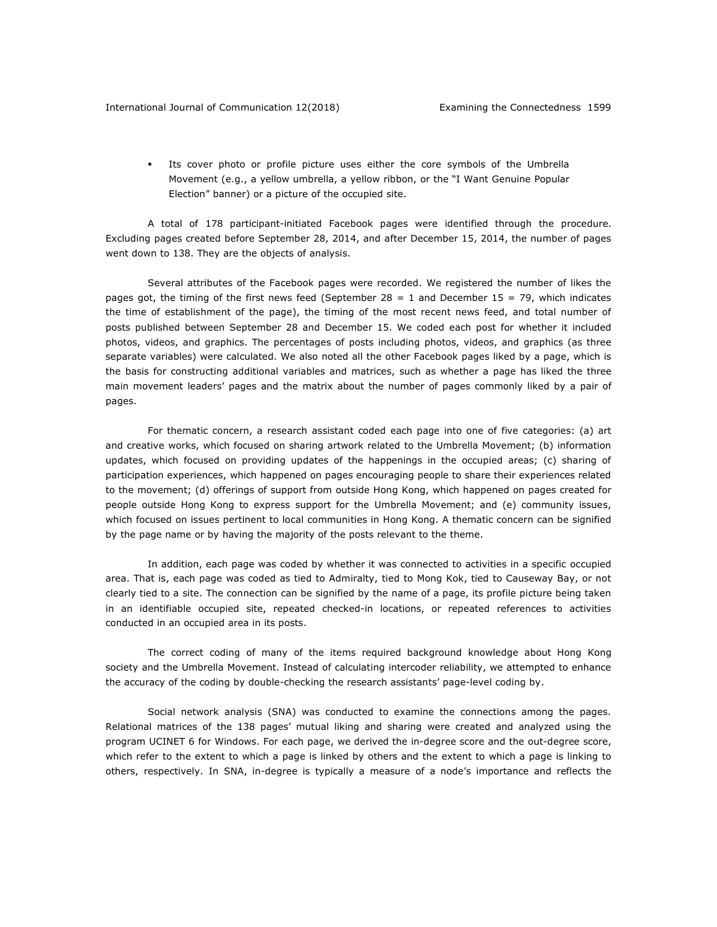§ Its cover photo or profile picture uses either the core symbols of the Umbrella Movement (e.g., a yellow umbrella, a yellow ribbon, or the "I Want Genuine Popular Election" banner) or a picture of the occupied site.

A total of 178 participant-initiated Facebook pages were identified through the procedure. Excluding pages created before September 28, 2014, and after December 15, 2014, the number of pages went down to 138. They are the objects of analysis.

Several attributes of the Facebook pages were recorded. We registered the number of likes the pages got, the timing of the first news feed (September  $28 = 1$  and December  $15 = 79$ , which indicates the time of establishment of the page), the timing of the most recent news feed, and total number of posts published between September 28 and December 15. We coded each post for whether it included photos, videos, and graphics. The percentages of posts including photos, videos, and graphics (as three separate variables) were calculated. We also noted all the other Facebook pages liked by a page, which is the basis for constructing additional variables and matrices, such as whether a page has liked the three main movement leaders' pages and the matrix about the number of pages commonly liked by a pair of pages.

For thematic concern, a research assistant coded each page into one of five categories: (a) art and creative works, which focused on sharing artwork related to the Umbrella Movement; (b) information updates, which focused on providing updates of the happenings in the occupied areas; (c) sharing of participation experiences, which happened on pages encouraging people to share their experiences related to the movement; (d) offerings of support from outside Hong Kong, which happened on pages created for people outside Hong Kong to express support for the Umbrella Movement; and (e) community issues, which focused on issues pertinent to local communities in Hong Kong. A thematic concern can be signified by the page name or by having the majority of the posts relevant to the theme.

In addition, each page was coded by whether it was connected to activities in a specific occupied area. That is, each page was coded as tied to Admiralty, tied to Mong Kok, tied to Causeway Bay, or not clearly tied to a site. The connection can be signified by the name of a page, its profile picture being taken in an identifiable occupied site, repeated checked-in locations, or repeated references to activities conducted in an occupied area in its posts.

The correct coding of many of the items required background knowledge about Hong Kong society and the Umbrella Movement. Instead of calculating intercoder reliability, we attempted to enhance the accuracy of the coding by double-checking the research assistants' page-level coding by.

Social network analysis (SNA) was conducted to examine the connections among the pages. Relational matrices of the 138 pages' mutual liking and sharing were created and analyzed using the program UCINET 6 for Windows. For each page, we derived the in-degree score and the out-degree score, which refer to the extent to which a page is linked by others and the extent to which a page is linking to others, respectively. In SNA, in-degree is typically a measure of a node's importance and reflects the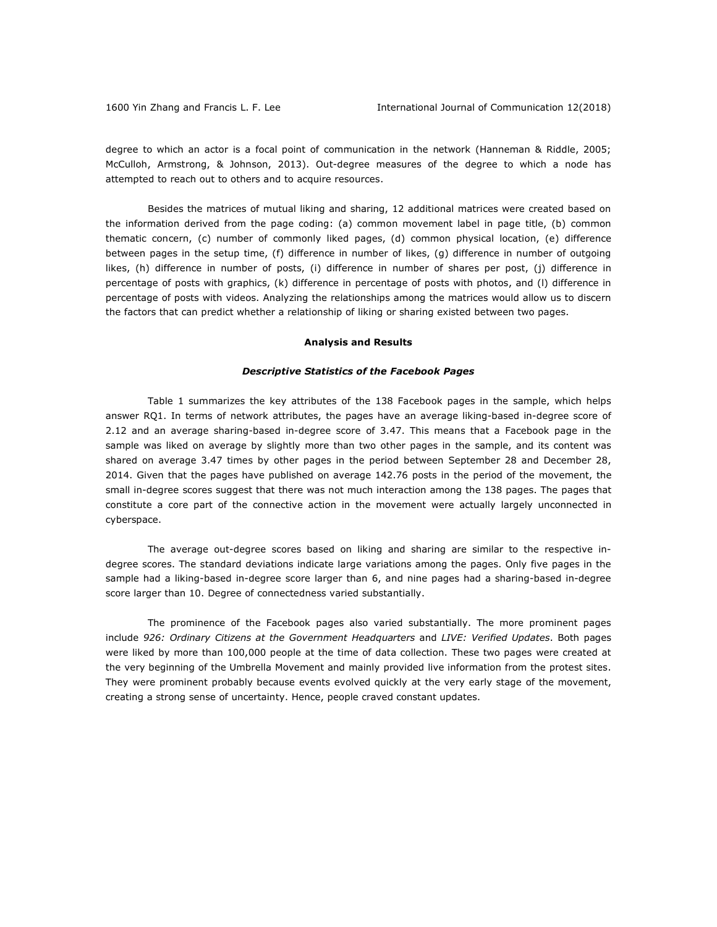degree to which an actor is a focal point of communication in the network (Hanneman & Riddle, 2005; McCulloh, Armstrong, & Johnson, 2013). Out-degree measures of the degree to which a node has attempted to reach out to others and to acquire resources.

Besides the matrices of mutual liking and sharing, 12 additional matrices were created based on the information derived from the page coding: (a) common movement label in page title, (b) common thematic concern, (c) number of commonly liked pages, (d) common physical location, (e) difference between pages in the setup time, (f) difference in number of likes, (g) difference in number of outgoing likes, (h) difference in number of posts, (i) difference in number of shares per post, (j) difference in percentage of posts with graphics, (k) difference in percentage of posts with photos, and (l) difference in percentage of posts with videos. Analyzing the relationships among the matrices would allow us to discern the factors that can predict whether a relationship of liking or sharing existed between two pages.

#### **Analysis and Results**

#### *Descriptive Statistics of the Facebook Pages*

Table 1 summarizes the key attributes of the 138 Facebook pages in the sample, which helps answer RQ1. In terms of network attributes, the pages have an average liking-based in-degree score of 2.12 and an average sharing-based in-degree score of 3.47. This means that a Facebook page in the sample was liked on average by slightly more than two other pages in the sample, and its content was shared on average 3.47 times by other pages in the period between September 28 and December 28, 2014. Given that the pages have published on average 142.76 posts in the period of the movement, the small in-degree scores suggest that there was not much interaction among the 138 pages. The pages that constitute a core part of the connective action in the movement were actually largely unconnected in cyberspace.

The average out-degree scores based on liking and sharing are similar to the respective indegree scores. The standard deviations indicate large variations among the pages. Only five pages in the sample had a liking-based in-degree score larger than 6, and nine pages had a sharing-based in-degree score larger than 10. Degree of connectedness varied substantially.

The prominence of the Facebook pages also varied substantially. The more prominent pages include *926: Ordinary Citizens at the Government Headquarters* and *LIVE: Verified Updates*. Both pages were liked by more than 100,000 people at the time of data collection. These two pages were created at the very beginning of the Umbrella Movement and mainly provided live information from the protest sites. They were prominent probably because events evolved quickly at the very early stage of the movement, creating a strong sense of uncertainty. Hence, people craved constant updates.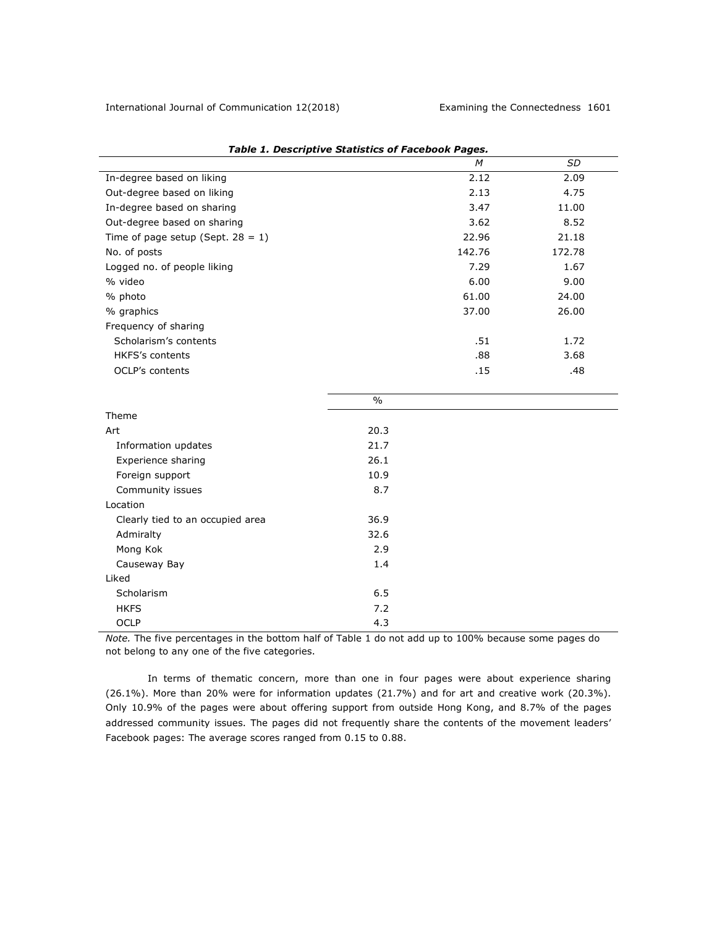|                                      |      | M      | SD     |
|--------------------------------------|------|--------|--------|
| In-degree based on liking            |      | 2.12   | 2.09   |
| Out-degree based on liking           |      | 2.13   | 4.75   |
| In-degree based on sharing           |      | 3.47   | 11.00  |
| Out-degree based on sharing          |      | 3.62   | 8.52   |
| Time of page setup (Sept. $28 = 1$ ) |      | 22.96  | 21.18  |
| No. of posts                         |      | 142.76 | 172.78 |
| Logged no. of people liking          |      | 7.29   | 1.67   |
| % video                              |      | 6.00   | 9.00   |
| % photo                              |      | 61.00  | 24.00  |
| % graphics                           |      | 37.00  | 26.00  |
| Frequency of sharing                 |      |        |        |
| Scholarism's contents                |      | .51    | 1.72   |
| <b>HKFS's contents</b>               |      | .88    | 3.68   |
| <b>OCLP's contents</b>               |      | .15    | .48    |
|                                      |      |        |        |
|                                      | $\%$ |        |        |
| Theme                                |      |        |        |
| Art                                  | 20.3 |        |        |
| Information updates                  | 21.7 |        |        |
| Experience sharing                   | 26.1 |        |        |
| Foreign support                      | 10.9 |        |        |
| Community issues                     | 8.7  |        |        |
| Location                             |      |        |        |
| Clearly tied to an occupied area     | 36.9 |        |        |
| Admiralty                            | 32.6 |        |        |
| Mong Kok                             | 2.9  |        |        |
| Causeway Bay                         | 1.4  |        |        |
| Liked                                |      |        |        |
| Scholarism                           | 6.5  |        |        |
| <b>HKFS</b>                          | 7.2  |        |        |
| <b>OCLP</b>                          | 4.3  |        |        |

|  |  | <b>Table 1. Descriptive Statistics of Facebook Pages.</b> |  |  |
|--|--|-----------------------------------------------------------|--|--|
|--|--|-----------------------------------------------------------|--|--|

*Note.* The five percentages in the bottom half of Table 1 do not add up to 100% because some pages do not belong to any one of the five categories.

In terms of thematic concern, more than one in four pages were about experience sharing (26.1%). More than 20% were for information updates (21.7%) and for art and creative work (20.3%). Only 10.9% of the pages were about offering support from outside Hong Kong, and 8.7% of the pages addressed community issues. The pages did not frequently share the contents of the movement leaders' Facebook pages: The average scores ranged from 0.15 to 0.88.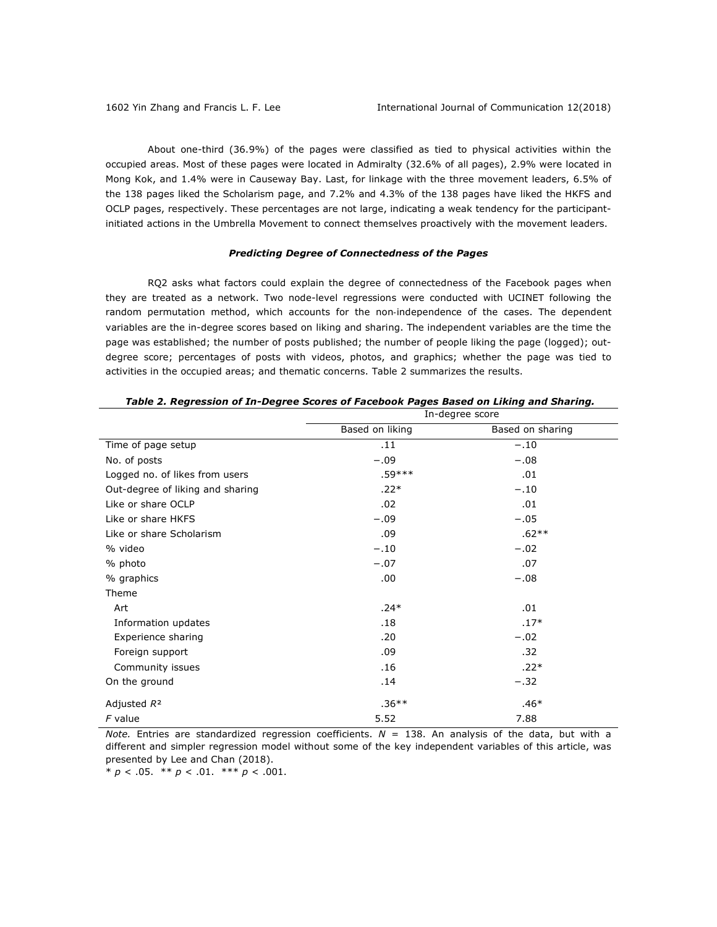About one-third (36.9%) of the pages were classified as tied to physical activities within the occupied areas. Most of these pages were located in Admiralty (32.6% of all pages), 2.9% were located in Mong Kok, and 1.4% were in Causeway Bay. Last, for linkage with the three movement leaders, 6.5% of the 138 pages liked the Scholarism page, and 7.2% and 4.3% of the 138 pages have liked the HKFS and OCLP pages, respectively. These percentages are not large, indicating a weak tendency for the participantinitiated actions in the Umbrella Movement to connect themselves proactively with the movement leaders.

## *Predicting Degree of Connectedness of the Pages*

RQ2 asks what factors could explain the degree of connectedness of the Facebook pages when they are treated as a network. Two node-level regressions were conducted with UCINET following the random permutation method, which accounts for the non-independence of the cases. The dependent variables are the in-degree scores based on liking and sharing. The independent variables are the time the page was established; the number of posts published; the number of people liking the page (logged); outdegree score; percentages of posts with videos, photos, and graphics; whether the page was tied to activities in the occupied areas; and thematic concerns. Table 2 summarizes the results.

|                                  |                 | In-degree score  |  |
|----------------------------------|-----------------|------------------|--|
|                                  | Based on liking | Based on sharing |  |
| Time of page setup               | .11             | $-.10$           |  |
| No. of posts                     | $-.09$          | $-.08$           |  |
| Logged no. of likes from users   | .59***          | .01              |  |
| Out-degree of liking and sharing | $.22*$          | $-.10$           |  |
| Like or share OCLP               | .02             | .01              |  |
| Like or share HKFS               | $-.09$          | $-.05$           |  |
| Like or share Scholarism         | .09             | $.62**$          |  |
| % video                          | $-.10$          | $-.02$           |  |
| % photo                          | $-.07$          | .07              |  |
| % graphics                       | .00.            | $-.08$           |  |
| Theme                            |                 |                  |  |
| Art                              | $.24*$          | .01              |  |
| Information updates              | .18             | $.17*$           |  |
| Experience sharing               | .20             | $-.02$           |  |
| Foreign support                  | .09             | .32              |  |
| Community issues                 | .16             | $.22*$           |  |
| On the ground                    | .14             | $-.32$           |  |
| Adjusted $R^2$                   | $.36**$         | $.46*$           |  |
| $F$ value                        | 5.52            | 7.88             |  |

#### *Table 2. Regression of In-Degree Scores of Facebook Pages Based on Liking and Sharing.*

*Note.* Entries are standardized regression coefficients.  $N = 138$ . An analysis of the data, but with a different and simpler regression model without some of the key independent variables of this article, was presented by Lee and Chan (2018).

\*  $p < .05$ . \*\*  $p < .01$ . \*\*\*  $p < .001$ .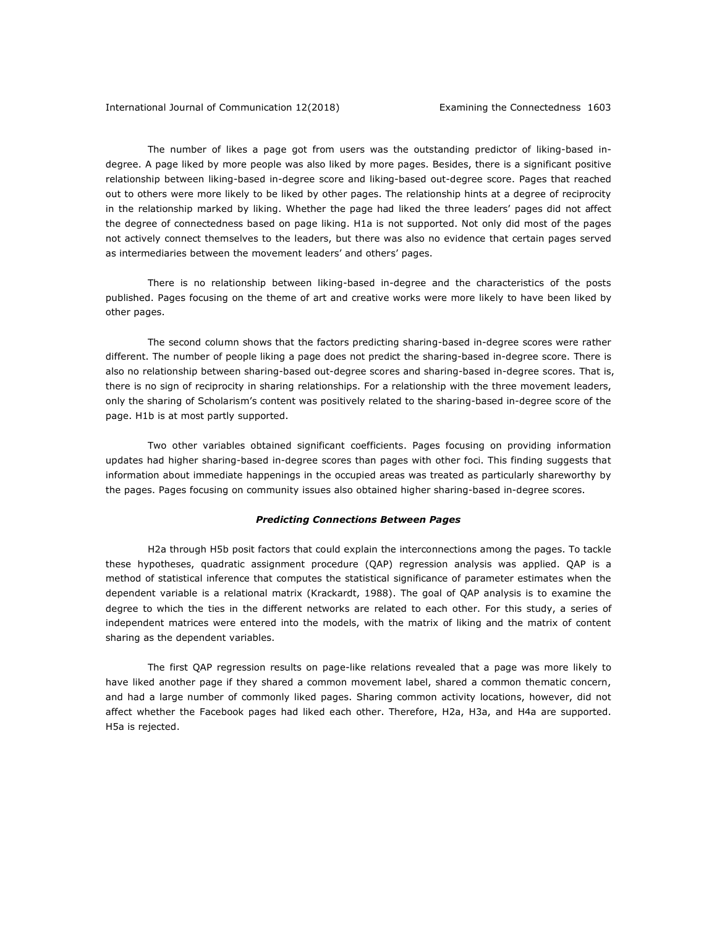The number of likes a page got from users was the outstanding predictor of liking-based indegree. A page liked by more people was also liked by more pages. Besides, there is a significant positive relationship between liking-based in-degree score and liking-based out-degree score. Pages that reached out to others were more likely to be liked by other pages. The relationship hints at a degree of reciprocity in the relationship marked by liking. Whether the page had liked the three leaders' pages did not affect the degree of connectedness based on page liking. H1a is not supported. Not only did most of the pages not actively connect themselves to the leaders, but there was also no evidence that certain pages served as intermediaries between the movement leaders' and others' pages.

There is no relationship between liking-based in-degree and the characteristics of the posts published. Pages focusing on the theme of art and creative works were more likely to have been liked by other pages.

The second column shows that the factors predicting sharing-based in-degree scores were rather different. The number of people liking a page does not predict the sharing-based in-degree score. There is also no relationship between sharing-based out-degree scores and sharing-based in-degree scores. That is, there is no sign of reciprocity in sharing relationships. For a relationship with the three movement leaders, only the sharing of Scholarism's content was positively related to the sharing-based in-degree score of the page. H1b is at most partly supported.

Two other variables obtained significant coefficients. Pages focusing on providing information updates had higher sharing-based in-degree scores than pages with other foci. This finding suggests that information about immediate happenings in the occupied areas was treated as particularly shareworthy by the pages. Pages focusing on community issues also obtained higher sharing-based in-degree scores.

## *Predicting Connections Between Pages*

H2a through H5b posit factors that could explain the interconnections among the pages. To tackle these hypotheses, quadratic assignment procedure (QAP) regression analysis was applied. QAP is a method of statistical inference that computes the statistical significance of parameter estimates when the dependent variable is a relational matrix (Krackardt, 1988). The goal of QAP analysis is to examine the degree to which the ties in the different networks are related to each other. For this study, a series of independent matrices were entered into the models, with the matrix of liking and the matrix of content sharing as the dependent variables.

The first QAP regression results on page-like relations revealed that a page was more likely to have liked another page if they shared a common movement label, shared a common thematic concern, and had a large number of commonly liked pages. Sharing common activity locations, however, did not affect whether the Facebook pages had liked each other. Therefore, H2a, H3a, and H4a are supported. H5a is rejected.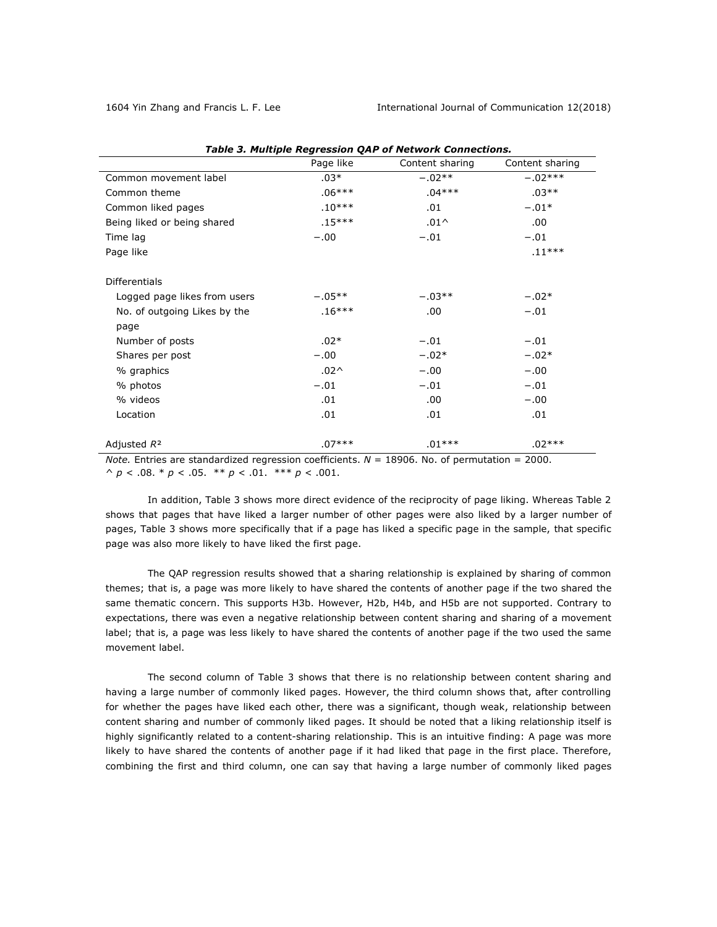|                              | Page like        | Content sharing | Content sharing |
|------------------------------|------------------|-----------------|-----------------|
| Common movement label        | $.03*$           | $-.02**$        | $-.02***$       |
| Common theme                 | $.06***$         | $.04***$        | $.03**$         |
| Common liked pages           | $.10***$         | .01             | $-.01*$         |
| Being liked or being shared  | $.15***$         | $.01^$          | .00.            |
| Time lag                     | $-.00$           | $-.01$          | $-.01$          |
| Page like                    |                  |                 | $.11***$        |
|                              |                  |                 |                 |
| <b>Differentials</b>         |                  |                 |                 |
| Logged page likes from users | $-.05**$         | $-.03**$        | $-.02*$         |
| No. of outgoing Likes by the | $.16***$         | .00.            | $-.01$          |
| page                         |                  |                 |                 |
| Number of posts              | $.02*$           | $-.01$          | $-.01$          |
| Shares per post              | $-.00$           | $-.02*$         | $-.02*$         |
| % graphics                   | .02 <sub>0</sub> | $-.00$          | $-.00$          |
| % photos                     | $-.01$           | $-.01$          | $-.01$          |
| % videos                     | .01              | .00.            | $-.00$          |
| Location                     | .01              | .01             | .01             |
|                              |                  |                 |                 |
| Adjusted $R^2$               | $.07***$         | $.01***$        | .02***          |

|  |  |  | <b>Table 3. Multiple Regression QAP of Network Connections.</b> |  |
|--|--|--|-----------------------------------------------------------------|--|
|--|--|--|-----------------------------------------------------------------|--|

*Note.* Entries are standardized regression coefficients.  $N = 18906$ . No. of permutation = 2000. ^ *p* < .08. \* *p* < .05. \*\* *p* < .01. \*\*\* *p* < .001.

In addition, Table 3 shows more direct evidence of the reciprocity of page liking. Whereas Table 2 shows that pages that have liked a larger number of other pages were also liked by a larger number of pages, Table 3 shows more specifically that if a page has liked a specific page in the sample, that specific page was also more likely to have liked the first page.

The QAP regression results showed that a sharing relationship is explained by sharing of common themes; that is, a page was more likely to have shared the contents of another page if the two shared the same thematic concern. This supports H3b. However, H2b, H4b, and H5b are not supported. Contrary to expectations, there was even a negative relationship between content sharing and sharing of a movement label; that is, a page was less likely to have shared the contents of another page if the two used the same movement label.

The second column of Table 3 shows that there is no relationship between content sharing and having a large number of commonly liked pages. However, the third column shows that, after controlling for whether the pages have liked each other, there was a significant, though weak, relationship between content sharing and number of commonly liked pages. It should be noted that a liking relationship itself is highly significantly related to a content-sharing relationship. This is an intuitive finding: A page was more likely to have shared the contents of another page if it had liked that page in the first place. Therefore, combining the first and third column, one can say that having a large number of commonly liked pages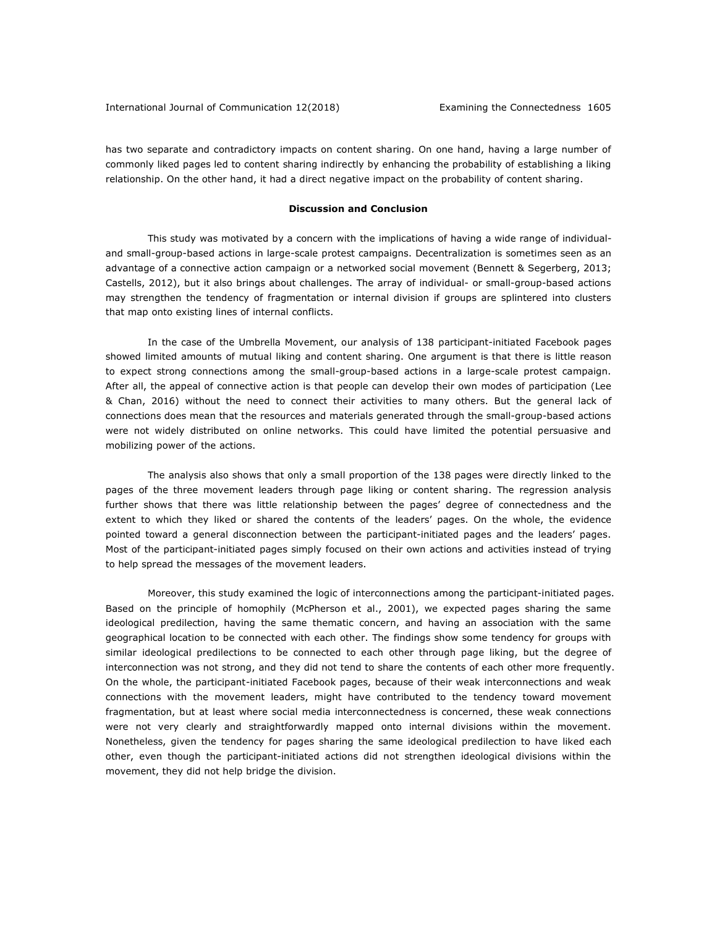has two separate and contradictory impacts on content sharing. On one hand, having a large number of commonly liked pages led to content sharing indirectly by enhancing the probability of establishing a liking relationship. On the other hand, it had a direct negative impact on the probability of content sharing.

#### **Discussion and Conclusion**

This study was motivated by a concern with the implications of having a wide range of individualand small-group-based actions in large-scale protest campaigns. Decentralization is sometimes seen as an advantage of a connective action campaign or a networked social movement (Bennett & Segerberg, 2013; Castells, 2012), but it also brings about challenges. The array of individual- or small-group-based actions may strengthen the tendency of fragmentation or internal division if groups are splintered into clusters that map onto existing lines of internal conflicts.

In the case of the Umbrella Movement, our analysis of 138 participant-initiated Facebook pages showed limited amounts of mutual liking and content sharing. One argument is that there is little reason to expect strong connections among the small-group-based actions in a large-scale protest campaign. After all, the appeal of connective action is that people can develop their own modes of participation (Lee & Chan, 2016) without the need to connect their activities to many others. But the general lack of connections does mean that the resources and materials generated through the small-group-based actions were not widely distributed on online networks. This could have limited the potential persuasive and mobilizing power of the actions.

The analysis also shows that only a small proportion of the 138 pages were directly linked to the pages of the three movement leaders through page liking or content sharing. The regression analysis further shows that there was little relationship between the pages' degree of connectedness and the extent to which they liked or shared the contents of the leaders' pages. On the whole, the evidence pointed toward a general disconnection between the participant-initiated pages and the leaders' pages. Most of the participant-initiated pages simply focused on their own actions and activities instead of trying to help spread the messages of the movement leaders.

Moreover, this study examined the logic of interconnections among the participant-initiated pages. Based on the principle of homophily (McPherson et al., 2001), we expected pages sharing the same ideological predilection, having the same thematic concern, and having an association with the same geographical location to be connected with each other. The findings show some tendency for groups with similar ideological predilections to be connected to each other through page liking, but the degree of interconnection was not strong, and they did not tend to share the contents of each other more frequently. On the whole, the participant-initiated Facebook pages, because of their weak interconnections and weak connections with the movement leaders, might have contributed to the tendency toward movement fragmentation, but at least where social media interconnectedness is concerned, these weak connections were not very clearly and straightforwardly mapped onto internal divisions within the movement. Nonetheless, given the tendency for pages sharing the same ideological predilection to have liked each other, even though the participant-initiated actions did not strengthen ideological divisions within the movement, they did not help bridge the division.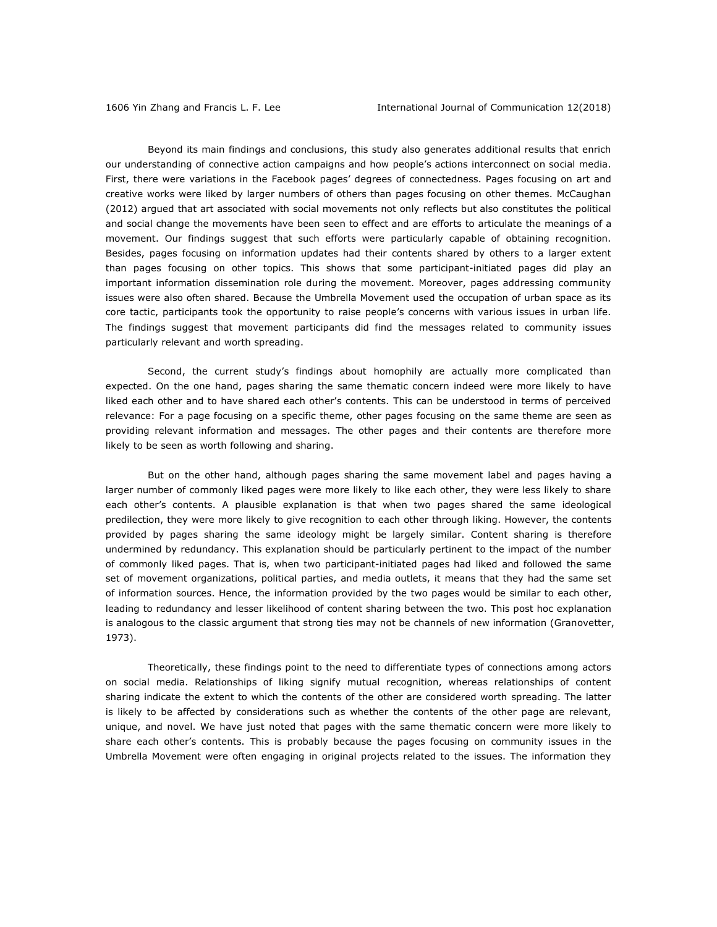Beyond its main findings and conclusions, this study also generates additional results that enrich our understanding of connective action campaigns and how people's actions interconnect on social media. First, there were variations in the Facebook pages' degrees of connectedness. Pages focusing on art and creative works were liked by larger numbers of others than pages focusing on other themes. McCaughan (2012) argued that art associated with social movements not only reflects but also constitutes the political and social change the movements have been seen to effect and are efforts to articulate the meanings of a movement. Our findings suggest that such efforts were particularly capable of obtaining recognition. Besides, pages focusing on information updates had their contents shared by others to a larger extent than pages focusing on other topics. This shows that some participant-initiated pages did play an important information dissemination role during the movement. Moreover, pages addressing community issues were also often shared. Because the Umbrella Movement used the occupation of urban space as its core tactic, participants took the opportunity to raise people's concerns with various issues in urban life. The findings suggest that movement participants did find the messages related to community issues particularly relevant and worth spreading.

Second, the current study's findings about homophily are actually more complicated than expected. On the one hand, pages sharing the same thematic concern indeed were more likely to have liked each other and to have shared each other's contents. This can be understood in terms of perceived relevance: For a page focusing on a specific theme, other pages focusing on the same theme are seen as providing relevant information and messages. The other pages and their contents are therefore more likely to be seen as worth following and sharing.

But on the other hand, although pages sharing the same movement label and pages having a larger number of commonly liked pages were more likely to like each other, they were less likely to share each other's contents. A plausible explanation is that when two pages shared the same ideological predilection, they were more likely to give recognition to each other through liking. However, the contents provided by pages sharing the same ideology might be largely similar. Content sharing is therefore undermined by redundancy. This explanation should be particularly pertinent to the impact of the number of commonly liked pages. That is, when two participant-initiated pages had liked and followed the same set of movement organizations, political parties, and media outlets, it means that they had the same set of information sources. Hence, the information provided by the two pages would be similar to each other, leading to redundancy and lesser likelihood of content sharing between the two. This post hoc explanation is analogous to the classic argument that strong ties may not be channels of new information (Granovetter, 1973).

Theoretically, these findings point to the need to differentiate types of connections among actors on social media. Relationships of liking signify mutual recognition, whereas relationships of content sharing indicate the extent to which the contents of the other are considered worth spreading. The latter is likely to be affected by considerations such as whether the contents of the other page are relevant, unique, and novel. We have just noted that pages with the same thematic concern were more likely to share each other's contents. This is probably because the pages focusing on community issues in the Umbrella Movement were often engaging in original projects related to the issues. The information they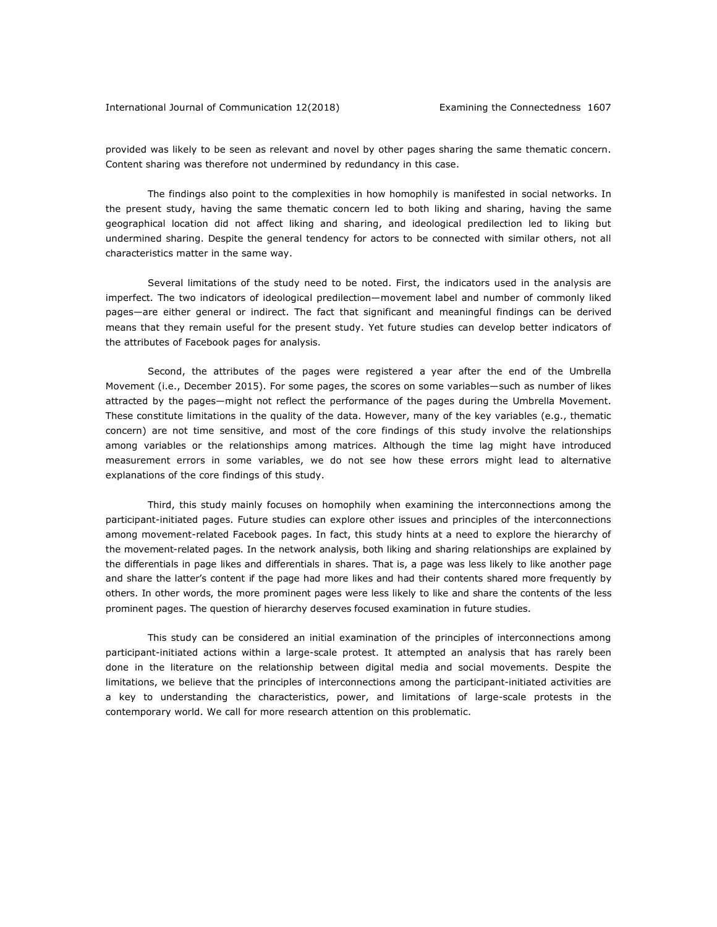provided was likely to be seen as relevant and novel by other pages sharing the same thematic concern. Content sharing was therefore not undermined by redundancy in this case.

The findings also point to the complexities in how homophily is manifested in social networks. In the present study, having the same thematic concern led to both liking and sharing, having the same geographical location did not affect liking and sharing, and ideological predilection led to liking but undermined sharing. Despite the general tendency for actors to be connected with similar others, not all characteristics matter in the same way.

Several limitations of the study need to be noted. First, the indicators used in the analysis are imperfect. The two indicators of ideological predilection—movement label and number of commonly liked pages—are either general or indirect. The fact that significant and meaningful findings can be derived means that they remain useful for the present study. Yet future studies can develop better indicators of the attributes of Facebook pages for analysis.

Second, the attributes of the pages were registered a year after the end of the Umbrella Movement (i.e., December 2015). For some pages, the scores on some variables—such as number of likes attracted by the pages—might not reflect the performance of the pages during the Umbrella Movement. These constitute limitations in the quality of the data. However, many of the key variables (e.g., thematic concern) are not time sensitive, and most of the core findings of this study involve the relationships among variables or the relationships among matrices. Although the time lag might have introduced measurement errors in some variables, we do not see how these errors might lead to alternative explanations of the core findings of this study.

Third, this study mainly focuses on homophily when examining the interconnections among the participant-initiated pages. Future studies can explore other issues and principles of the interconnections among movement-related Facebook pages. In fact, this study hints at a need to explore the hierarchy of the movement-related pages. In the network analysis, both liking and sharing relationships are explained by the differentials in page likes and differentials in shares. That is, a page was less likely to like another page and share the latter's content if the page had more likes and had their contents shared more frequently by others. In other words, the more prominent pages were less likely to like and share the contents of the less prominent pages. The question of hierarchy deserves focused examination in future studies.

This study can be considered an initial examination of the principles of interconnections among participant-initiated actions within a large-scale protest. It attempted an analysis that has rarely been done in the literature on the relationship between digital media and social movements. Despite the limitations, we believe that the principles of interconnections among the participant-initiated activities are a key to understanding the characteristics, power, and limitations of large-scale protests in the contemporary world. We call for more research attention on this problematic.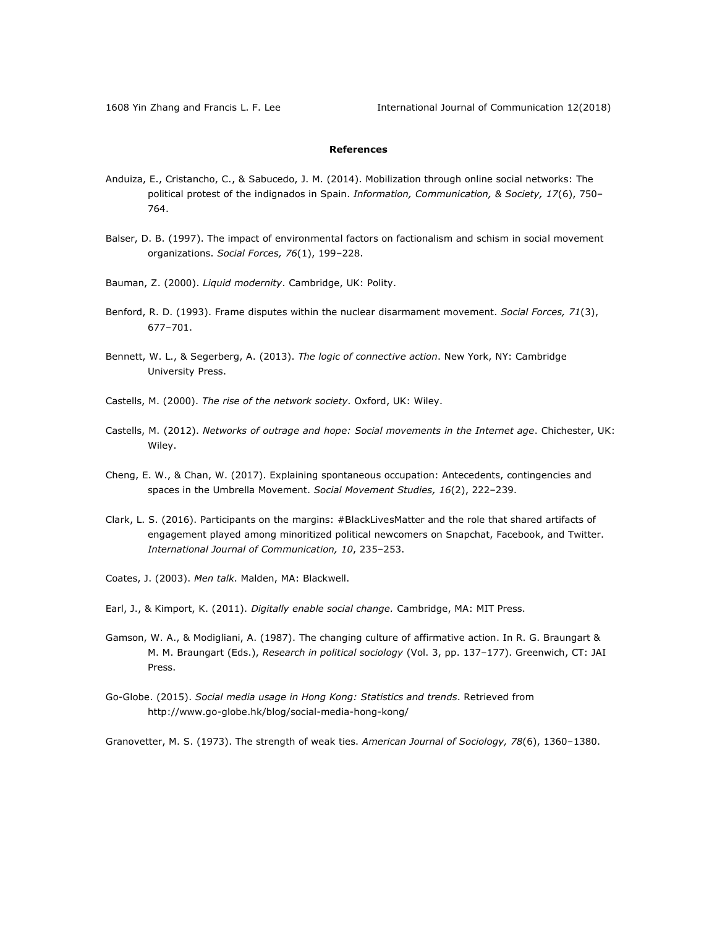## **References**

- Anduiza, E., Cristancho, C., & Sabucedo, J. M. (2014). Mobilization through online social networks: The political protest of the indignados in Spain. *Information, Communication, & Society, 17*(6), 750– 764.
- Balser, D. B. (1997). The impact of environmental factors on factionalism and schism in social movement organizations. *Social Forces, 76*(1), 199–228.
- Bauman, Z. (2000). *Liquid modernity*. Cambridge, UK: Polity.
- Benford, R. D. (1993). Frame disputes within the nuclear disarmament movement. *Social Forces, 71*(3), 677–701.
- Bennett, W. L., & Segerberg, A. (2013). *The logic of connective action*. New York, NY: Cambridge University Press.
- Castells, M. (2000). *The rise of the network society.* Oxford, UK: Wiley.
- Castells, M. (2012). *Networks of outrage and hope: Social movements in the Internet age*. Chichester, UK: Wiley.
- Cheng, E. W., & Chan, W. (2017). Explaining spontaneous occupation: Antecedents, contingencies and spaces in the Umbrella Movement. *Social Movement Studies, 16*(2), 222–239.
- Clark, L. S. (2016). Participants on the margins: #BlackLivesMatter and the role that shared artifacts of engagement played among minoritized political newcomers on Snapchat, Facebook, and Twitter. *International Journal of Communication, 10*, 235–253.
- Coates, J. (2003). *Men talk*. Malden, MA: Blackwell.

Earl, J., & Kimport, K. (2011). *Digitally enable social change.* Cambridge, MA: MIT Press.

- Gamson, W. A., & Modigliani, A. (1987). The changing culture of affirmative action. In R. G. Braungart & M. M. Braungart (Eds.), *Research in political sociology* (Vol. 3, pp. 137–177). Greenwich, CT: JAI Press.
- Go-Globe. (2015). *Social media usage in Hong Kong: Statistics and trends*. Retrieved from http://www.go-globe.hk/blog/social-media-hong-kong/

Granovetter, M. S. (1973). The strength of weak ties. *American Journal of Sociology, 78*(6), 1360–1380.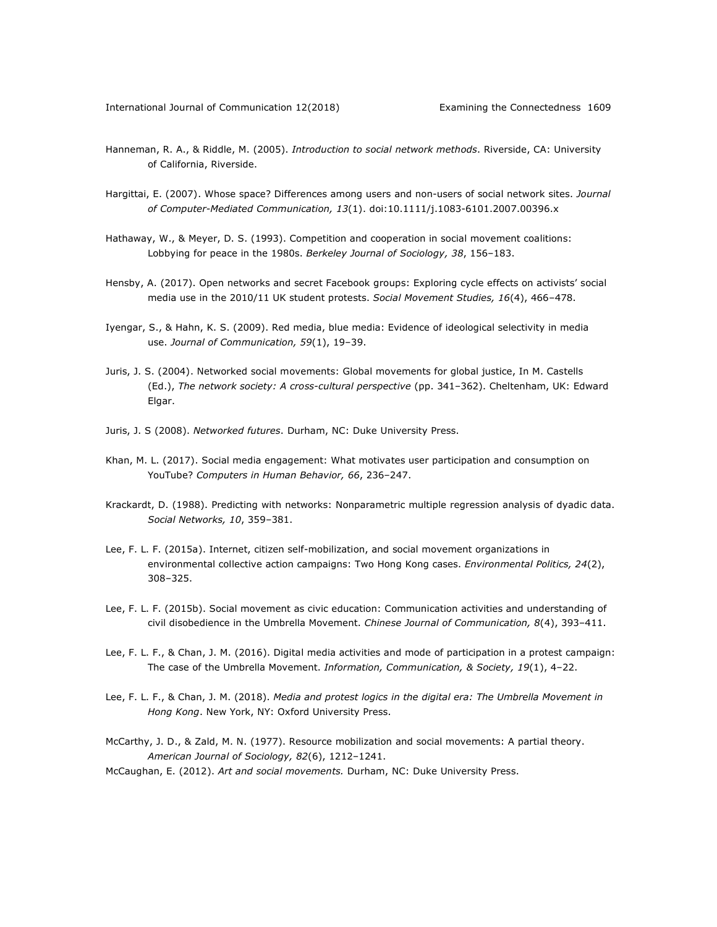- Hanneman, R. A., & Riddle, M. (2005). *Introduction to social network methods*. Riverside, CA: University of California, Riverside.
- Hargittai, E. (2007). Whose space? Differences among users and non-users of social network sites. *Journal of Computer-Mediated Communication, 13*(1). doi:10.1111/j.1083-6101.2007.00396.x
- Hathaway, W., & Meyer, D. S. (1993). Competition and cooperation in social movement coalitions: Lobbying for peace in the 1980s. *Berkeley Journal of Sociology, 38*, 156–183.
- Hensby, A. (2017). Open networks and secret Facebook groups: Exploring cycle effects on activists' social media use in the 2010/11 UK student protests. *Social Movement Studies, 16*(4), 466–478.
- Iyengar, S., & Hahn, K. S. (2009). Red media, blue media: Evidence of ideological selectivity in media use. *Journal of Communication, 59*(1), 19–39.
- Juris, J. S. (2004). Networked social movements: Global movements for global justice, In M. Castells (Ed.), *The network society: A cross-cultural perspective* (pp. 341–362). Cheltenham, UK: Edward Elgar.
- Juris, J. S (2008). *Networked futures*. Durham, NC: Duke University Press.
- Khan, M. L. (2017). Social media engagement: What motivates user participation and consumption on YouTube? *Computers in Human Behavior, 66*, 236–247.
- Krackardt, D. (1988). Predicting with networks: Nonparametric multiple regression analysis of dyadic data. *Social Networks, 10*, 359–381.
- Lee, F. L. F. (2015a). Internet, citizen self-mobilization, and social movement organizations in environmental collective action campaigns: Two Hong Kong cases. *Environmental Politics, 24*(2), 308–325.
- Lee, F. L. F. (2015b). Social movement as civic education: Communication activities and understanding of civil disobedience in the Umbrella Movement. *Chinese Journal of Communication, 8*(4), 393–411.
- Lee, F. L. F., & Chan, J. M. (2016). Digital media activities and mode of participation in a protest campaign: The case of the Umbrella Movement. *Information, Communication, & Society, 19*(1), 4–22.
- Lee, F. L. F., & Chan, J. M. (2018). *Media and protest logics in the digital era: The Umbrella Movement in Hong Kong*. New York, NY: Oxford University Press.
- McCarthy, J. D., & Zald, M. N. (1977). Resource mobilization and social movements: A partial theory. *American Journal of Sociology, 82*(6), 1212–1241.
- McCaughan, E. (2012). *Art and social movements.* Durham, NC: Duke University Press.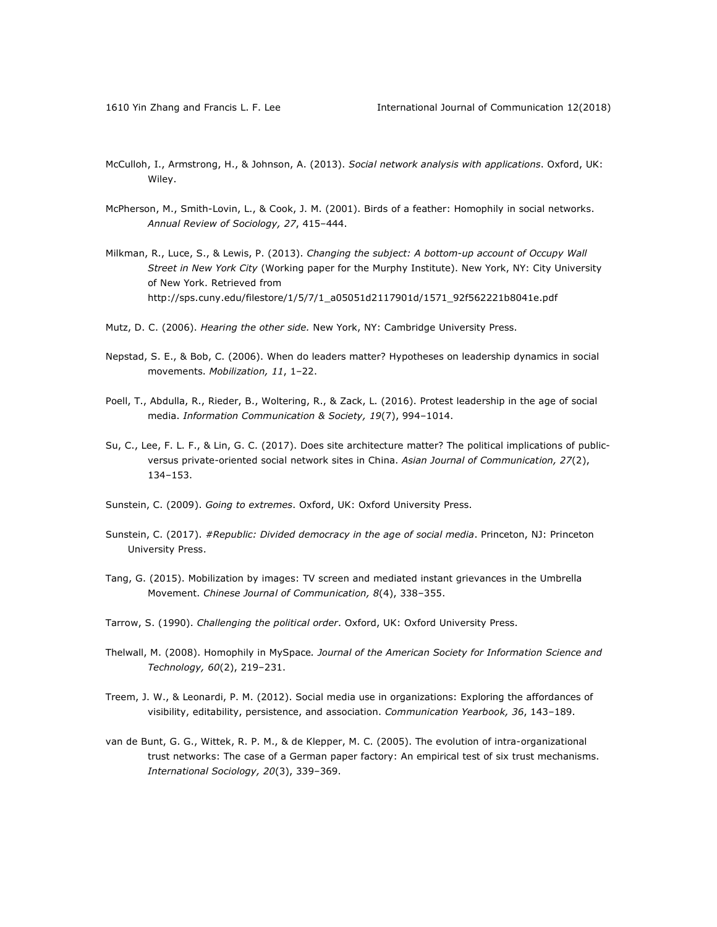- McCulloh, I., Armstrong, H., & Johnson, A. (2013). *Social network analysis with applications*. Oxford, UK: Wiley.
- McPherson, M., Smith-Lovin, L., & Cook, J. M. (2001). Birds of a feather: Homophily in social networks. *Annual Review of Sociology, 27*, 415–444.
- Milkman, R., Luce, S., & Lewis, P. (2013). *Changing the subject: A bottom-up account of Occupy Wall Street in New York City* (Working paper for the Murphy Institute). New York, NY: City University of New York. Retrieved from http://sps.cuny.edu/filestore/1/5/7/1\_a05051d2117901d/1571\_92f562221b8041e.pdf
- Mutz, D. C. (2006). *Hearing the other side.* New York, NY: Cambridge University Press.
- Nepstad, S. E., & Bob, C. (2006). When do leaders matter? Hypotheses on leadership dynamics in social movements. *Mobilization, 11*, 1–22.
- Poell, T., Abdulla, R., Rieder, B., Woltering, R., & Zack, L. (2016). Protest leadership in the age of social media. *Information Communication & Society, 19*(7), 994–1014.
- Su, C., Lee, F. L. F., & Lin, G. C. (2017). Does site architecture matter? The political implications of publicversus private-oriented social network sites in China. *Asian Journal of Communication, 27*(2), 134–153.
- Sunstein, C. (2009). *Going to extremes*. Oxford, UK: Oxford University Press.
- Sunstein, C. (2017). *#Republic: Divided democracy in the age of social media*. Princeton, NJ: Princeton University Press.
- Tang, G. (2015). Mobilization by images: TV screen and mediated instant grievances in the Umbrella Movement. *Chinese Journal of Communication, 8*(4), 338–355.
- Tarrow, S. (1990). *Challenging the political order*. Oxford, UK: Oxford University Press.
- Thelwall, M. (2008). Homophily in MySpace*. Journal of the American Society for Information Science and Technology, 60*(2), 219–231.
- Treem, J. W., & Leonardi, P. M. (2012). Social media use in organizations: Exploring the affordances of visibility, editability, persistence, and association. *Communication Yearbook, 36*, 143–189.
- van de Bunt, G. G., Wittek, R. P. M., & de Klepper, M. C. (2005). The evolution of intra-organizational trust networks: The case of a German paper factory: An empirical test of six trust mechanisms. *International Sociology, 20*(3), 339–369.